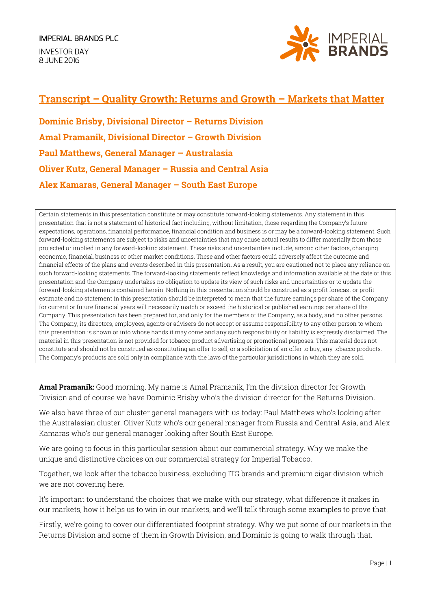**INVESTOR DAY** 8 JUNE 2016



## **Transcript – Quality Growth: Returns and Growth – Markets that Matter**

**Dominic Brisby, Divisional Director – Returns Division Amal Pramanik, Divisional Director – Growth Division Paul Matthews, General Manager – Australasia Oliver Kutz, General Manager – Russia and Central Asia Alex Kamaras, General Manager – South East Europe**

Certain statements in this presentation constitute or may constitute forward-looking statements. Any statement in this presentation that is not a statement of historical fact including, without limitation, those regarding the Company's future expectations, operations, financial performance, financial condition and business is or may be a forward-looking statement. Such forward-looking statements are subject to risks and uncertainties that may cause actual results to differ materially from those projected or implied in any forward-looking statement. These risks and uncertainties include, among other factors, changing economic, financial, business or other market conditions. These and other factors could adversely affect the outcome and financial effects of the plans and events described in this presentation. As a result, you are cautioned not to place any reliance on such forward-looking statements. The forward-looking statements reflect knowledge and information available at the date of this presentation and the Company undertakes no obligation to update its view of such risks and uncertainties or to update the forward-looking statements contained herein. Nothing in this presentation should be construed as a profit forecast or profit estimate and no statement in this presentation should be interpreted to mean that the future earnings per share of the Company for current or future financial years will necessarily match or exceed the historical or published earnings per share of the Company. This presentation has been prepared for, and only for the members of the Company, as a body, and no other persons. The Company, its directors, employees, agents or advisers do not accept or assume responsibility to any other person to whom this presentation is shown or into whose hands it may come and any such responsibility or liability is expressly disclaimed. The material in this presentation is not provided for tobacco product advertising or promotional purposes. This material does not constitute and should not be construed as constituting an offer to sell, or a solicitation of an offer to buy, any tobacco products. The Company's products are sold only in compliance with the laws of the particular jurisdictions in which they are sold.

**Amal Pramanik:** Good morning. My name is Amal Pramanik, I'm the division director for Growth Division and of course we have Dominic Brisby who's the division director for the Returns Division.

We also have three of our cluster general managers with us today: Paul Matthews who's looking after the Australasian cluster. Oliver Kutz who's our general manager from Russia and Central Asia, and Alex Kamaras who's our general manager looking after South East Europe.

We are going to focus in this particular session about our commercial strategy. Why we make the unique and distinctive choices on our commercial strategy for Imperial Tobacco.

Together, we look after the tobacco business, excluding ITG brands and premium cigar division which we are not covering here.

It's important to understand the choices that we make with our strategy, what difference it makes in our markets, how it helps us to win in our markets, and we'll talk through some examples to prove that.

Firstly, we're going to cover our differentiated footprint strategy. Why we put some of our markets in the Returns Division and some of them in Growth Division, and Dominic is going to walk through that.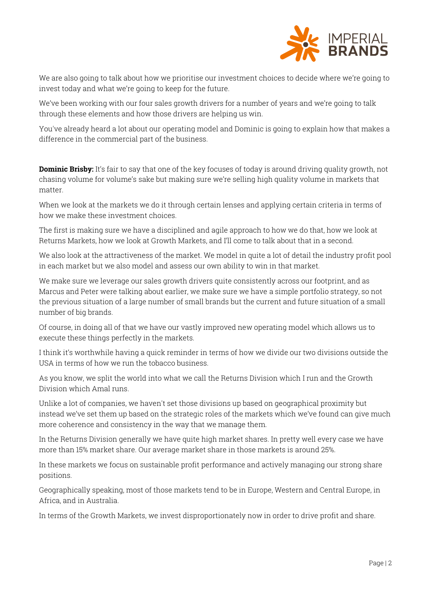

We are also going to talk about how we prioritise our investment choices to decide where we're going to invest today and what we're going to keep for the future.

We've been working with our four sales growth drivers for a number of years and we're going to talk through these elements and how those drivers are helping us win.

You've already heard a lot about our operating model and Dominic is going to explain how that makes a difference in the commercial part of the business.

**Dominic Brisby:** It's fair to say that one of the key focuses of today is around driving quality growth, not chasing volume for volume's sake but making sure we're selling high quality volume in markets that matter.

When we look at the markets we do it through certain lenses and applying certain criteria in terms of how we make these investment choices.

The first is making sure we have a disciplined and agile approach to how we do that, how we look at Returns Markets, how we look at Growth Markets, and I'll come to talk about that in a second.

We also look at the attractiveness of the market. We model in quite a lot of detail the industry profit pool in each market but we also model and assess our own ability to win in that market.

We make sure we leverage our sales growth drivers quite consistently across our footprint, and as Marcus and Peter were talking about earlier, we make sure we have a simple portfolio strategy, so not the previous situation of a large number of small brands but the current and future situation of a small number of big brands.

Of course, in doing all of that we have our vastly improved new operating model which allows us to execute these things perfectly in the markets.

I think it's worthwhile having a quick reminder in terms of how we divide our two divisions outside the USA in terms of how we run the tobacco business.

As you know, we split the world into what we call the Returns Division which I run and the Growth Division which Amal runs.

Unlike a lot of companies, we haven't set those divisions up based on geographical proximity but instead we've set them up based on the strategic roles of the markets which we've found can give much more coherence and consistency in the way that we manage them.

In the Returns Division generally we have quite high market shares. In pretty well every case we have more than 15% market share. Our average market share in those markets is around 25%.

In these markets we focus on sustainable profit performance and actively managing our strong share positions.

Geographically speaking, most of those markets tend to be in Europe, Western and Central Europe, in Africa, and in Australia.

In terms of the Growth Markets, we invest disproportionately now in order to drive profit and share.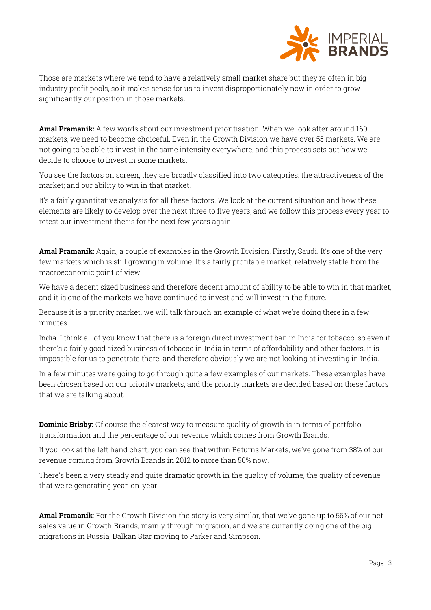

Those are markets where we tend to have a relatively small market share but they're often in big industry profit pools, so it makes sense for us to invest disproportionately now in order to grow significantly our position in those markets.

**Amal Pramanik:** A few words about our investment prioritisation. When we look after around 160 markets, we need to become choiceful. Even in the Growth Division we have over 55 markets. We are not going to be able to invest in the same intensity everywhere, and this process sets out how we decide to choose to invest in some markets.

You see the factors on screen, they are broadly classified into two categories: the attractiveness of the market; and our ability to win in that market.

It's a fairly quantitative analysis for all these factors. We look at the current situation and how these elements are likely to develop over the next three to five years, and we follow this process every year to retest our investment thesis for the next few years again.

**Amal Pramanik:** Again, a couple of examples in the Growth Division. Firstly, Saudi. It's one of the very few markets which is still growing in volume. It's a fairly profitable market, relatively stable from the macroeconomic point of view.

We have a decent sized business and therefore decent amount of ability to be able to win in that market, and it is one of the markets we have continued to invest and will invest in the future.

Because it is a priority market, we will talk through an example of what we're doing there in a few minutes.

India. I think all of you know that there is a foreign direct investment ban in India for tobacco, so even if there's a fairly good sized business of tobacco in India in terms of affordability and other factors, it is impossible for us to penetrate there, and therefore obviously we are not looking at investing in India.

In a few minutes we're going to go through quite a few examples of our markets. These examples have been chosen based on our priority markets, and the priority markets are decided based on these factors that we are talking about.

**Dominic Brisby:** Of course the clearest way to measure quality of growth is in terms of portfolio transformation and the percentage of our revenue which comes from Growth Brands.

If you look at the left hand chart, you can see that within Returns Markets, we've gone from 38% of our revenue coming from Growth Brands in 2012 to more than 50% now.

There's been a very steady and quite dramatic growth in the quality of volume, the quality of revenue that we're generating year-on-year.

**Amal Pramanik**: For the Growth Division the story is very similar, that we've gone up to 56% of our net sales value in Growth Brands, mainly through migration, and we are currently doing one of the big migrations in Russia, Balkan Star moving to Parker and Simpson.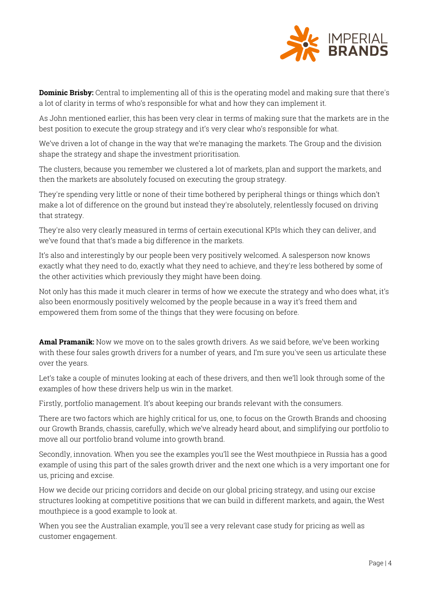

**Dominic Brisby:** Central to implementing all of this is the operating model and making sure that there's a lot of clarity in terms of who's responsible for what and how they can implement it.

As John mentioned earlier, this has been very clear in terms of making sure that the markets are in the best position to execute the group strategy and it's very clear who's responsible for what.

We've driven a lot of change in the way that we're managing the markets. The Group and the division shape the strategy and shape the investment prioritisation.

The clusters, because you remember we clustered a lot of markets, plan and support the markets, and then the markets are absolutely focused on executing the group strategy.

They're spending very little or none of their time bothered by peripheral things or things which don't make a lot of difference on the ground but instead they're absolutely, relentlessly focused on driving that strategy.

They're also very clearly measured in terms of certain executional KPIs which they can deliver, and we've found that that's made a big difference in the markets.

It's also and interestingly by our people been very positively welcomed. A salesperson now knows exactly what they need to do, exactly what they need to achieve, and they're less bothered by some of the other activities which previously they might have been doing.

Not only has this made it much clearer in terms of how we execute the strategy and who does what, it's also been enormously positively welcomed by the people because in a way it's freed them and empowered them from some of the things that they were focusing on before.

**Amal Pramanik:** Now we move on to the sales growth drivers. As we said before, we've been working with these four sales growth drivers for a number of years, and I'm sure you've seen us articulate these over the years.

Let's take a couple of minutes looking at each of these drivers, and then we'll look through some of the examples of how these drivers help us win in the market.

Firstly, portfolio management. It's about keeping our brands relevant with the consumers.

There are two factors which are highly critical for us, one, to focus on the Growth Brands and choosing our Growth Brands, chassis, carefully, which we've already heard about, and simplifying our portfolio to move all our portfolio brand volume into growth brand.

Secondly, innovation. When you see the examples you'll see the West mouthpiece in Russia has a good example of using this part of the sales growth driver and the next one which is a very important one for us, pricing and excise.

How we decide our pricing corridors and decide on our global pricing strategy, and using our excise structures looking at competitive positions that we can build in different markets, and again, the West mouthpiece is a good example to look at.

When you see the Australian example, you'll see a very relevant case study for pricing as well as customer engagement.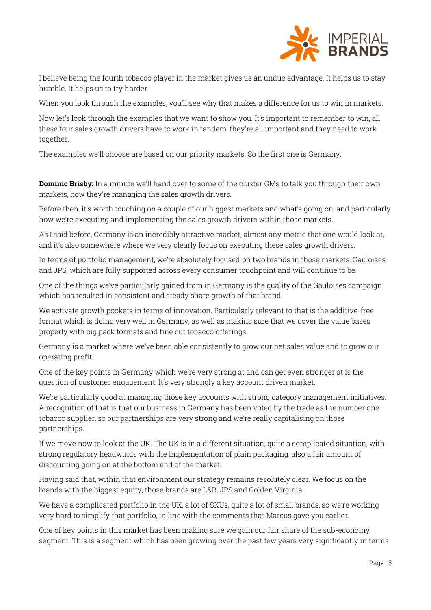

I believe being the fourth tobacco player in the market gives us an undue advantage. It helps us to stay humble. It helps us to try harder.

When you look through the examples, you'll see why that makes a difference for us to win in markets.

Now let's look through the examples that we want to show you. It's important to remember to win, all these four sales growth drivers have to work in tandem, they're all important and they need to work together.

The examples we'll choose are based on our priority markets. So the first one is Germany.

**Dominic Brisby:** In a minute we'll hand over to some of the cluster GMs to talk you through their own markets, how they're managing the sales growth drivers.

Before then, it's worth touching on a couple of our biggest markets and what's going on, and particularly how we're executing and implementing the sales growth drivers within those markets.

As I said before, Germany is an incredibly attractive market, almost any metric that one would look at, and it's also somewhere where we very clearly focus on executing these sales growth drivers.

In terms of portfolio management, we're absolutely focused on two brands in those markets: Gauloises and JPS, which are fully supported across every consumer touchpoint and will continue to be.

One of the things we've particularly gained from in Germany is the quality of the Gauloises campaign which has resulted in consistent and steady share growth of that brand.

We activate growth pockets in terms of innovation. Particularly relevant to that is the additive-free format which is doing very well in Germany, as well as making sure that we cover the value bases properly with big pack formats and fine cut tobacco offerings.

Germany is a market where we've been able consistently to grow our net sales value and to grow our operating profit.

One of the key points in Germany which we're very strong at and can get even stronger at is the question of customer engagement. It's very strongly a key account driven market.

We're particularly good at managing those key accounts with strong category management initiatives. A recognition of that is that our business in Germany has been voted by the trade as the number one tobacco supplier, so our partnerships are very strong and we're really capitalising on those partnerships.

If we move now to look at the UK. The UK is in a different situation, quite a complicated situation, with strong regulatory headwinds with the implementation of plain packaging, also a fair amount of discounting going on at the bottom end of the market.

Having said that, within that environment our strategy remains resolutely clear. We focus on the brands with the biggest equity, those brands are L&B, JPS and Golden Virginia.

We have a complicated portfolio in the UK, a lot of SKUs, quite a lot of small brands, so we're working very hard to simplify that portfolio, in line with the comments that Marcus gave you earlier.

One of key points in this market has been making sure we gain our fair share of the sub-economy segment. This is a segment which has been growing over the past few years very significantly in terms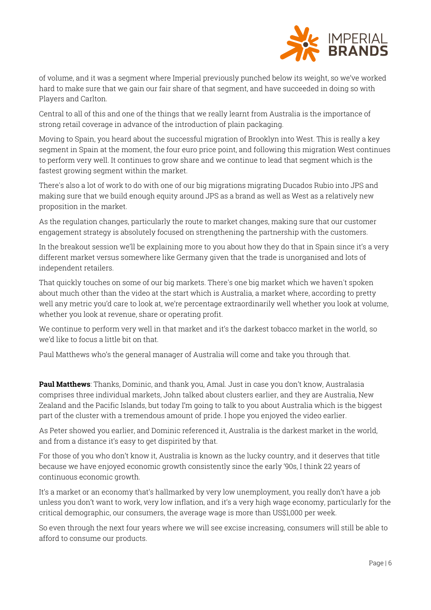

of volume, and it was a segment where Imperial previously punched below its weight, so we've worked hard to make sure that we gain our fair share of that segment, and have succeeded in doing so with Players and Carlton.

Central to all of this and one of the things that we really learnt from Australia is the importance of strong retail coverage in advance of the introduction of plain packaging.

Moving to Spain, you heard about the successful migration of Brooklyn into West. This is really a key segment in Spain at the moment, the four euro price point, and following this migration West continues to perform very well. It continues to grow share and we continue to lead that segment which is the fastest growing segment within the market.

There's also a lot of work to do with one of our big migrations migrating Ducados Rubio into JPS and making sure that we build enough equity around JPS as a brand as well as West as a relatively new proposition in the market.

As the regulation changes, particularly the route to market changes, making sure that our customer engagement strategy is absolutely focused on strengthening the partnership with the customers.

In the breakout session we'll be explaining more to you about how they do that in Spain since it's a very different market versus somewhere like Germany given that the trade is unorganised and lots of independent retailers.

That quickly touches on some of our big markets. There's one big market which we haven't spoken about much other than the video at the start which is Australia, a market where, according to pretty well any metric you'd care to look at, we're percentage extraordinarily well whether you look at volume, whether you look at revenue, share or operating profit.

We continue to perform very well in that market and it's the darkest tobacco market in the world, so we'd like to focus a little bit on that.

Paul Matthews who's the general manager of Australia will come and take you through that.

**Paul Matthews**: Thanks, Dominic, and thank you, Amal. Just in case you don't know, Australasia comprises three individual markets, John talked about clusters earlier, and they are Australia, New Zealand and the Pacific Islands, but today I'm going to talk to you about Australia which is the biggest part of the cluster with a tremendous amount of pride. I hope you enjoyed the video earlier.

As Peter showed you earlier, and Dominic referenced it, Australia is the darkest market in the world, and from a distance it's easy to get dispirited by that.

For those of you who don't know it, Australia is known as the lucky country, and it deserves that title because we have enjoyed economic growth consistently since the early '90s, I think 22 years of continuous economic growth.

It's a market or an economy that's hallmarked by very low unemployment, you really don't have a job unless you don't want to work, very low inflation, and it's a very high wage economy, particularly for the critical demographic, our consumers, the average wage is more than US\$1,000 per week.

So even through the next four years where we will see excise increasing, consumers will still be able to afford to consume our products.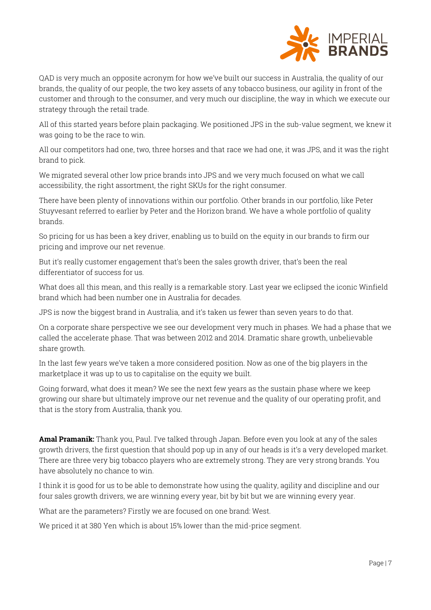

QAD is very much an opposite acronym for how we've built our success in Australia, the quality of our brands, the quality of our people, the two key assets of any tobacco business, our agility in front of the customer and through to the consumer, and very much our discipline, the way in which we execute our strategy through the retail trade.

All of this started years before plain packaging. We positioned JPS in the sub-value segment, we knew it was going to be the race to win.

All our competitors had one, two, three horses and that race we had one, it was JPS, and it was the right brand to pick.

We migrated several other low price brands into JPS and we very much focused on what we call accessibility, the right assortment, the right SKUs for the right consumer.

There have been plenty of innovations within our portfolio. Other brands in our portfolio, like Peter Stuyvesant referred to earlier by Peter and the Horizon brand. We have a whole portfolio of quality brands.

So pricing for us has been a key driver, enabling us to build on the equity in our brands to firm our pricing and improve our net revenue.

But it's really customer engagement that's been the sales growth driver, that's been the real differentiator of success for us.

What does all this mean, and this really is a remarkable story. Last year we eclipsed the iconic Winfield brand which had been number one in Australia for decades.

JPS is now the biggest brand in Australia, and it's taken us fewer than seven years to do that.

On a corporate share perspective we see our development very much in phases. We had a phase that we called the accelerate phase. That was between 2012 and 2014. Dramatic share growth, unbelievable share growth.

In the last few years we've taken a more considered position. Now as one of the big players in the marketplace it was up to us to capitalise on the equity we built.

Going forward, what does it mean? We see the next few years as the sustain phase where we keep growing our share but ultimately improve our net revenue and the quality of our operating profit, and that is the story from Australia, thank you.

**Amal Pramanik:** Thank you, Paul. I've talked through Japan. Before even you look at any of the sales growth drivers, the first question that should pop up in any of our heads is it's a very developed market. There are three very big tobacco players who are extremely strong. They are very strong brands. You have absolutely no chance to win.

I think it is good for us to be able to demonstrate how using the quality, agility and discipline and our four sales growth drivers, we are winning every year, bit by bit but we are winning every year.

What are the parameters? Firstly we are focused on one brand: West.

We priced it at 380 Yen which is about 15% lower than the mid-price segment.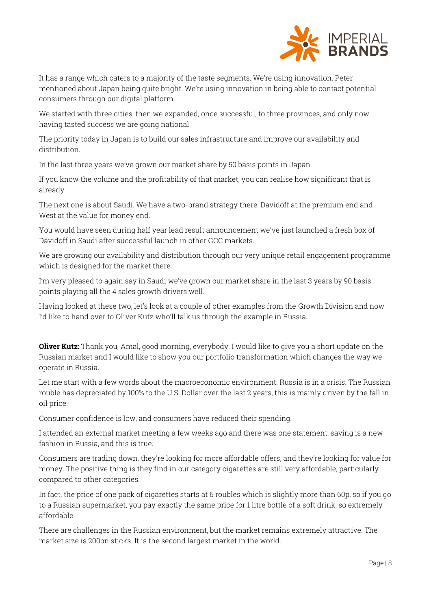

It has a range which caters to a majority of the taste segments. We're using innovation. Peter mentioned about Japan being quite bright. We're using innovation in being able to contact potential consumers through our digital platform.

We started with three cities, then we expanded, once successful, to three provinces, and only now having tasted success we are going national.

The priority today in Japan is to build our sales infrastructure and improve our availability and distribution.

In the last three years we've grown our market share by 50 basis points in Japan.

If you know the volume and the profitability of that market, you can realise how significant that is already.

The next one is about Saudi. We have a two-brand strategy there: Davidoff at the premium end and West at the value for money end.

You would have seen during half year lead result announcement we've just launched a fresh box of Davidoff in Saudi after successful launch in other GCC markets.

We are growing our availability and distribution through our very unique retail engagement programme which is designed for the market there.

I'm very pleased to again say in Saudi we've grown our market share in the last 3 years by 90 basis points playing all the 4 sales growth drivers well.

Having looked at these two, let's look at a couple of other examples from the Growth Division and now I'd like to hand over to Oliver Kutz who'll talk us through the example in Russia.

**Oliver Kutz:** Thank you, Amal, good morning, everybody. I would like to give you a short update on the Russian market and I would like to show you our portfolio transformation which changes the way we operate in Russia.

Let me start with a few words about the macroeconomic environment. Russia is in a crisis. The Russian rouble has depreciated by 100% to the U.S. Dollar over the last 2 years, this is mainly driven by the fall in oil price.

Consumer confidence is low, and consumers have reduced their spending.

I attended an external market meeting a few weeks ago and there was one statement: saving is a new fashion in Russia, and this is true.

Consumers are trading down, they're looking for more affordable offers, and they're looking for value for money. The positive thing is they find in our category cigarettes are still very affordable, particularly compared to other categories.

In fact, the price of one pack of cigarettes starts at 6 roubles which is slightly more than 60p, so if you go to a Russian supermarket, you pay exactly the same price for 1 litre bottle of a soft drink, so extremely affordable.

There are challenges in the Russian environment, but the market remains extremely attractive. The market size is 200bn sticks. It is the second largest market in the world.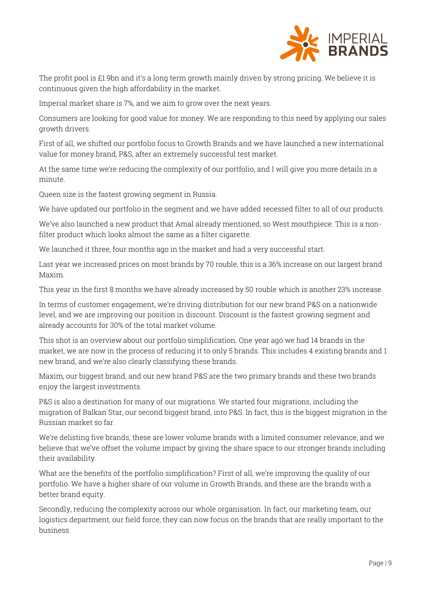

The profit pool is £1.9bn and it's a long term growth mainly driven by strong pricing. We believe it is continuous given the high affordability in the market.

Imperial market share is 7%, and we aim to grow over the next years.

Consumers are looking for good value for money. We are responding to this need by applying our sales growth drivers.

First of all, we shifted our portfolio focus to Growth Brands and we have launched a new international value for money brand, P&S, after an extremely successful test market.

At the same time we're reducing the complexity of our portfolio, and I will give you more details in a minute.

Queen size is the fastest growing segment in Russia.

We have updated our portfolio in the segment and we have added recessed filter to all of our products.

We've also launched a new product that Amal already mentioned, so West mouthpiece. This is a nonfilter product which looks almost the same as a filter cigarette.

We launched it three, four months ago in the market and had a very successful start.

Last year we increased prices on most brands by 70 rouble, this is a 36% increase on our largest brand Maxim.

This year in the first 8 months we have already increased by 50 rouble which is another 23% increase.

In terms of customer engagement, we're driving distribution for our new brand P&S on a nationwide level, and we are improving our position in discount. Discount is the fastest growing segment and already accounts for 30% of the total market volume.

This shot is an overview about our portfolio simplification. One year ago we had 14 brands in the market, we are now in the process of reducing it to only 5 brands. This includes 4 existing brands and 1 new brand, and we're also clearly classifying these brands.

Maxim, our biggest brand, and our new brand P&S are the two primary brands and these two brands enjoy the largest investments.

P&S is also a destination for many of our migrations. We started four migrations, including the migration of Balkan Star, our second biggest brand, into P&S. In fact, this is the biggest migration in the Russian market so far.

We're delisting five brands, these are lower volume brands with a limited consumer relevance, and we believe that we've offset the volume impact by giving the share space to our stronger brands including their availability.

What are the benefits of the portfolio simplification? First of all, we're improving the quality of our portfolio. We have a higher share of our volume in Growth Brands, and these are the brands with a better brand equity.

Secondly, reducing the complexity across our whole organisation. In fact, our marketing team, our logistics department, our field force, they can now focus on the brands that are really important to the business.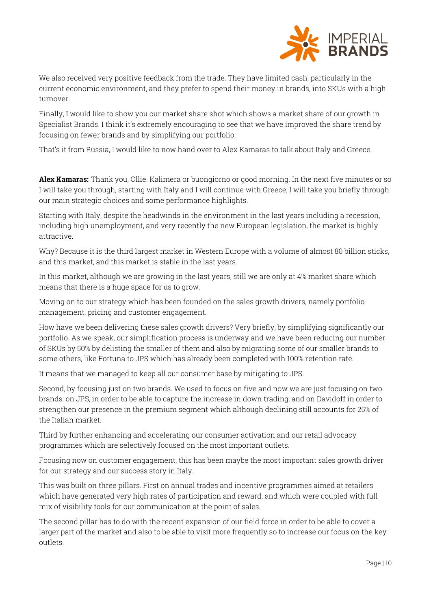

We also received very positive feedback from the trade. They have limited cash, particularly in the current economic environment, and they prefer to spend their money in brands, into SKUs with a high turnover.

Finally, I would like to show you our market share shot which shows a market share of our growth in Specialist Brands. I think it's extremely encouraging to see that we have improved the share trend by focusing on fewer brands and by simplifying our portfolio.

That's it from Russia, I would like to now hand over to Alex Kamaras to talk about Italy and Greece.

**Alex Kamaras:** Thank you, Ollie. Kalimera or buongiorno or good morning. In the next five minutes or so I will take you through, starting with Italy and I will continue with Greece, I will take you briefly through our main strategic choices and some performance highlights.

Starting with Italy, despite the headwinds in the environment in the last years including a recession, including high unemployment, and very recently the new European legislation, the market is highly attractive.

Why? Because it is the third largest market in Western Europe with a volume of almost 80 billion sticks, and this market, and this market is stable in the last years.

In this market, although we are growing in the last years, still we are only at 4% market share which means that there is a huge space for us to grow.

Moving on to our strategy which has been founded on the sales growth drivers, namely portfolio management, pricing and customer engagement.

How have we been delivering these sales growth drivers? Very briefly, by simplifying significantly our portfolio. As we speak, our simplification process is underway and we have been reducing our number of SKUs by 50% by delisting the smaller of them and also by migrating some of our smaller brands to some others, like Fortuna to JPS which has already been completed with 100% retention rate.

It means that we managed to keep all our consumer base by mitigating to JPS.

Second, by focusing just on two brands. We used to focus on five and now we are just focusing on two brands: on JPS, in order to be able to capture the increase in down trading; and on Davidoff in order to strengthen our presence in the premium segment which although declining still accounts for 25% of the Italian market.

Third by further enhancing and accelerating our consumer activation and our retail advocacy programmes which are selectively focused on the most important outlets.

Focusing now on customer engagement, this has been maybe the most important sales growth driver for our strategy and our success story in Italy.

This was built on three pillars. First on annual trades and incentive programmes aimed at retailers which have generated very high rates of participation and reward, and which were coupled with full mix of visibility tools for our communication at the point of sales.

The second pillar has to do with the recent expansion of our field force in order to be able to cover a larger part of the market and also to be able to visit more frequently so to increase our focus on the key outlets.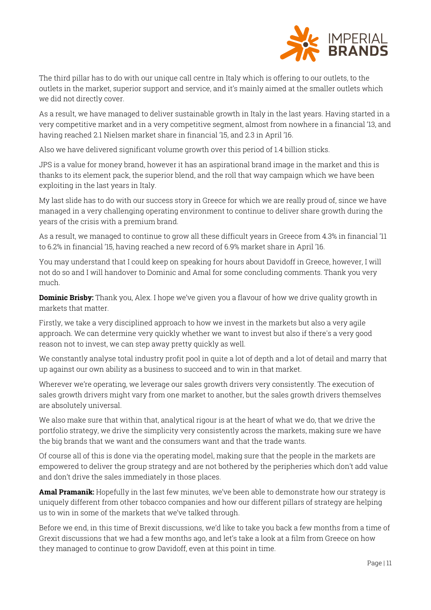

The third pillar has to do with our unique call centre in Italy which is offering to our outlets, to the outlets in the market, superior support and service, and it's mainly aimed at the smaller outlets which we did not directly cover.

As a result, we have managed to deliver sustainable growth in Italy in the last years. Having started in a very competitive market and in a very competitive segment, almost from nowhere in a financial '13, and having reached 2.1 Nielsen market share in financial '15, and 2.3 in April '16.

Also we have delivered significant volume growth over this period of 1.4 billion sticks.

JPS is a value for money brand, however it has an aspirational brand image in the market and this is thanks to its element pack, the superior blend, and the roll that way campaign which we have been exploiting in the last years in Italy.

My last slide has to do with our success story in Greece for which we are really proud of, since we have managed in a very challenging operating environment to continue to deliver share growth during the years of the crisis with a premium brand.

As a result, we managed to continue to grow all these difficult years in Greece from 4.3% in financial '11 to 6.2% in financial '15, having reached a new record of 6.9% market share in April '16.

You may understand that I could keep on speaking for hours about Davidoff in Greece, however, I will not do so and I will handover to Dominic and Amal for some concluding comments. Thank you very much.

**Dominic Brisby:** Thank you, Alex. I hope we've given you a flavour of how we drive quality growth in markets that matter.

Firstly, we take a very disciplined approach to how we invest in the markets but also a very agile approach. We can determine very quickly whether we want to invest but also if there's a very good reason not to invest, we can step away pretty quickly as well.

We constantly analyse total industry profit pool in quite a lot of depth and a lot of detail and marry that up against our own ability as a business to succeed and to win in that market.

Wherever we're operating, we leverage our sales growth drivers very consistently. The execution of sales growth drivers might vary from one market to another, but the sales growth drivers themselves are absolutely universal.

We also make sure that within that, analytical rigour is at the heart of what we do, that we drive the portfolio strategy, we drive the simplicity very consistently across the markets, making sure we have the big brands that we want and the consumers want and that the trade wants.

Of course all of this is done via the operating model, making sure that the people in the markets are empowered to deliver the group strategy and are not bothered by the peripheries which don't add value and don't drive the sales immediately in those places.

**Amal Pramanik:** Hopefully in the last few minutes, we've been able to demonstrate how our strategy is uniquely different from other tobacco companies and how our different pillars of strategy are helping us to win in some of the markets that we've talked through.

Before we end, in this time of Brexit discussions, we'd like to take you back a few months from a time of Grexit discussions that we had a few months ago, and let's take a look at a film from Greece on how they managed to continue to grow Davidoff, even at this point in time.